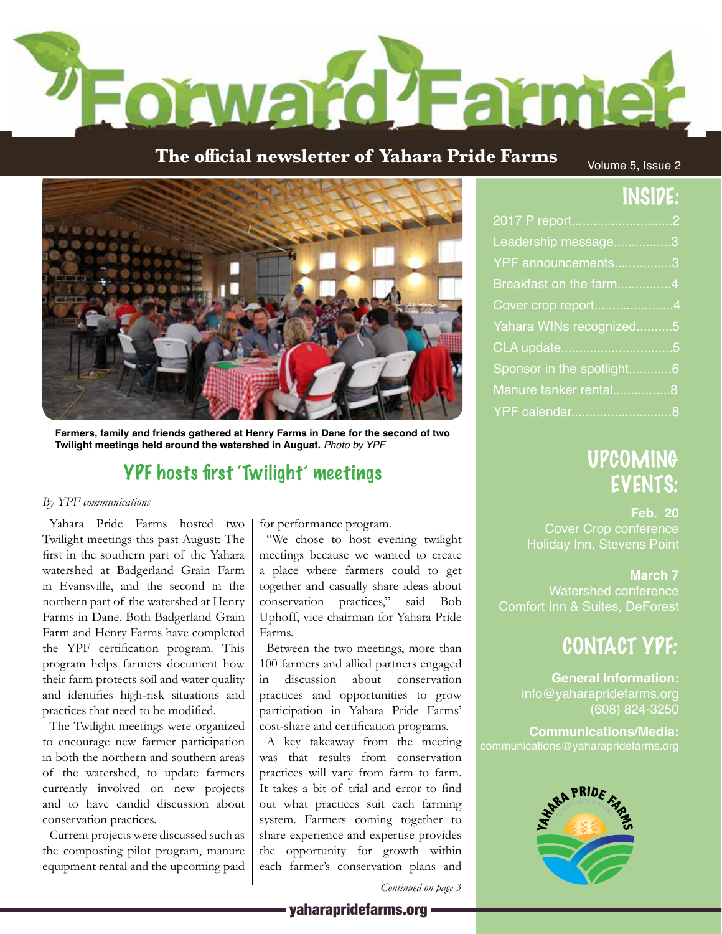

## **The official newsletter of Yahara Pride Farms**

Volume 5, Issue 2

2017 P report............................2 Leadership message................3 YPF announcements................3 Breakfast on the farm...............4 Cover crop report......................4 Yahara WINs recognized..........5 CLA update...............................5 Sponsor in the spotlight.............6 Manure tanker rental.................8 YPF calendar............................8

INSIDE:



**Farmers, family and friends gathered at Henry Farms in Dane for the second of two Twilight meetings held around the watershed in August.** *Photo by YPF*

# YPF hosts first 'Twilight' meetings

#### *By YPF communications*

Yahara Pride Farms hosted two Twilight meetings this past August: The first in the southern part of the Yahara watershed at Badgerland Grain Farm in Evansville, and the second in the northern part of the watershed at Henry Farms in Dane. Both Badgerland Grain Farm and Henry Farms have completed the YPF certification program. This program helps farmers document how their farm protects soil and water quality and identifies high-risk situations and practices that need to be modified.

The Twilight meetings were organized to encourage new farmer participation in both the northern and southern areas of the watershed, to update farmers currently involved on new projects and to have candid discussion about conservation practices.

Current projects were discussed such as the composting pilot program, manure equipment rental and the upcoming paid for performance program.

"We chose to host evening twilight meetings because we wanted to create a place where farmers could to get together and casually share ideas about conservation practices," said Bob Uphoff, vice chairman for Yahara Pride Farms.

Between the two meetings, more than 100 farmers and allied partners engaged in discussion about conservation practices and opportunities to grow participation in Yahara Pride Farms' cost-share and certification programs.

A key takeaway from the meeting was that results from conservation practices will vary from farm to farm. It takes a bit of trial and error to find out what practices suit each farming system. Farmers coming together to share experience and expertise provides the opportunity for growth within each farmer's conservation plans and

# PRIDE

*Continued on page 3*

# UPCOMING EVENTS:

**Feb. 20** Cover Crop conference Holiday Inn, Stevens Point

## **March 7**

Watershed conference Comfort Inn & Suites, DeForest

# CONTACT YPF:

**General Information:** info@yaharapridefarms.org (608) 824-3250

**Communications/Media:**

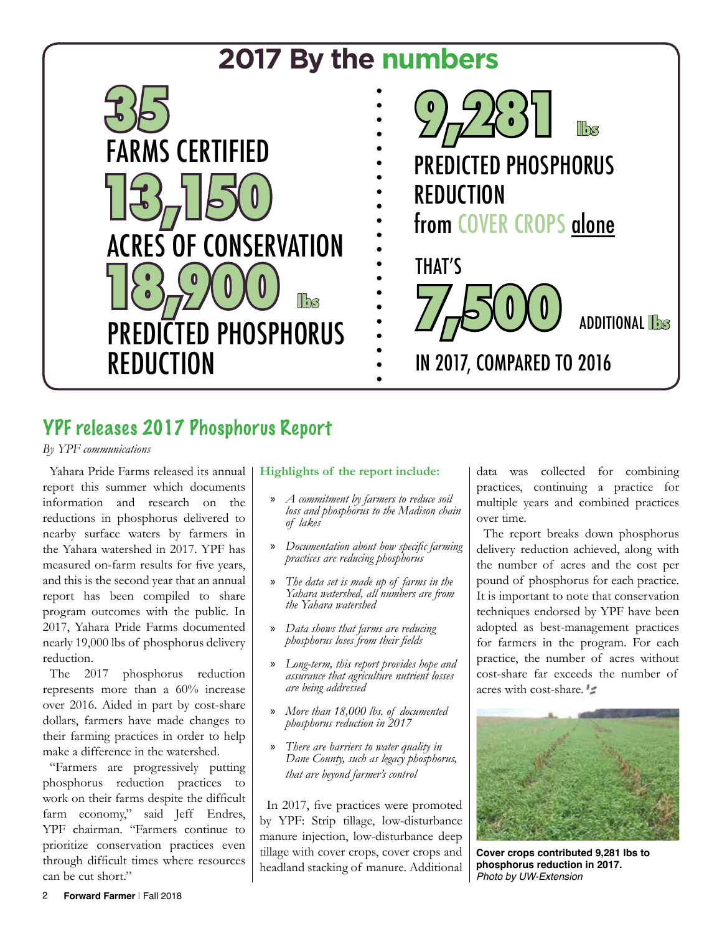

# YPF releases 2017 Phosphorus Report

*By YPF communications* 

Yahara Pride Farms released its annual report this summer which documents information and research on the reductions in phosphorus delivered to nearby surface waters by farmers in the Yahara watershed in 2017. YPF has measured on-farm results for five years, and this is the second year that an annual report has been compiled to share program outcomes with the public. In 2017, Yahara Pride Farms documented nearly 19,000 lbs of phosphorus delivery reduction.

The 2017 phosphorus reduction represents more than a 60% increase over 2016. Aided in part by cost-share dollars, farmers have made changes to their farming practices in order to help make a difference in the watershed.

"Farmers are progressively putting phosphorus reduction practices to work on their farms despite the difficult farm economy," said Jeff Endres, YPF chairman. "Farmers continue to prioritize conservation practices even through difficult times where resources can be cut short."

## **Highlights of the report include:**

- » *A commitment by farmers to reduce soil loss and phosphorus to the Madison chain of lakes*
- » *Documentation about how specific farming practices are reducing phosphorus*
- » *The data set is made up of farms in the Yahara watershed, all numbers are from the Yahara watershed*
- » *Data shows that farms are reducing phosphorus loses from their fields*
- » *Long-term, this report provides hope and assurance that agriculture nutrient losses are being addressed*
- » *More than 18,000 lbs. of documented phosphorus reduction in 2017*
- » *There are barriers to water quality in Dane County, such as legacy phosphorus, that are beyond farmer's control*

In 2017, five practices were promoted by YPF: Strip tillage, low-disturbance manure injection, low-disturbance deep tillage with cover crops, cover crops and headland stacking of manure. Additional data was collected for combining practices, continuing a practice for multiple years and combined practices over time.

The report breaks down phosphorus delivery reduction achieved, along with the number of acres and the cost per pound of phosphorus for each practice. It is important to note that conservation techniques endorsed by YPF have been adopted as best-management practices for farmers in the program. For each practice, the number of acres without cost-share far exceeds the number of acres with cost-share.



**Cover crops contributed 9,281 lbs to phosphorus reduction in 2017.** *Photo by UW-Extension*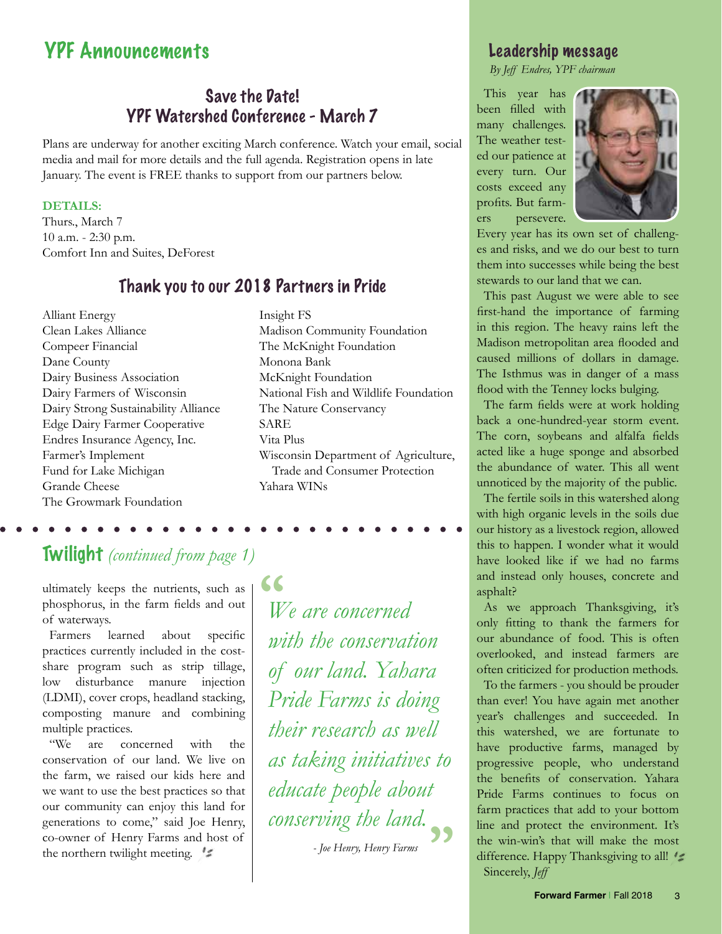# YPF Announcements

## Save the Date! YPF Watershed Conference - March 7

Plans are underway for another exciting March conference. Watch your email, social media and mail for more details and the full agenda. Registration opens in late January. The event is FREE thanks to support from our partners below.

#### **DETAILS:**

Thurs., March 7 10 a.m. - 2:30 p.m. Comfort Inn and Suites, DeForest

## Thank you to our 2018 Partners in Pride

Alliant Energy Clean Lakes Alliance Compeer Financial Dane County Dairy Business Association Dairy Farmers of Wisconsin Dairy Strong Sustainability Alliance Edge Dairy Farmer Cooperative Endres Insurance Agency, Inc. Farmer's Implement Fund for Lake Michigan Grande Cheese The Growmark Foundation

Insight FS Madison Community Foundation The McKnight Foundation Monona Bank McKnight Foundation National Fish and Wildlife Foundation The Nature Conservancy SARE Vita Plus Wisconsin Department of Agriculture, Trade and Consumer Protection Yahara WINs

# Twilight *(continued from page 1)*

ultimately keeps the nutrients, such as phosphorus, in the farm fields and out of waterways.

Farmers learned about specific practices currently included in the costshare program such as strip tillage, low disturbance manure injection (LDMI), cover crops, headland stacking, composting manure and combining multiple practices.

"We are concerned with the conservation of our land. We live on the farm, we raised our kids here and we want to use the best practices so that our community can enjoy this land for generations to come," said Joe Henry, co-owner of Henry Farms and host of the northern twilight meeting.

*We are concerned with the conservation of our land. Yahara Pride Farms is doing their research as well as taking initiatives to educate people about conserving the land.* **" "**

*- Joe Henry, Henry Farms*

## Leadership message

*By Jeff Endres, YPF chairman*

This year has been filled with many challenges. The weather tested our patience at every turn. Our costs exceed any profits. But farmers persevere.



Every year has its own set of challenges and risks, and we do our best to turn them into successes while being the best stewards to our land that we can.

This past August we were able to see first-hand the importance of farming in this region. The heavy rains left the Madison metropolitan area flooded and caused millions of dollars in damage. The Isthmus was in danger of a mass flood with the Tenney locks bulging.

The farm fields were at work holding back a one-hundred-year storm event. The corn, soybeans and alfalfa fields acted like a huge sponge and absorbed the abundance of water. This all went unnoticed by the majority of the public.

The fertile soils in this watershed along with high organic levels in the soils due our history as a livestock region, allowed this to happen. I wonder what it would have looked like if we had no farms and instead only houses, concrete and asphalt?

As we approach Thanksgiving, it's only fitting to thank the farmers for our abundance of food. This is often overlooked, and instead farmers are often criticized for production methods.

To the farmers - you should be prouder than ever! You have again met another year's challenges and succeeded. In this watershed, we are fortunate to have productive farms, managed by progressive people, who understand the benefits of conservation. Yahara Pride Farms continues to focus on farm practices that add to your bottom line and protect the environment. It's the win-win's that will make the most difference. Happy Thanksgiving to all! Sincerely, *Jeff*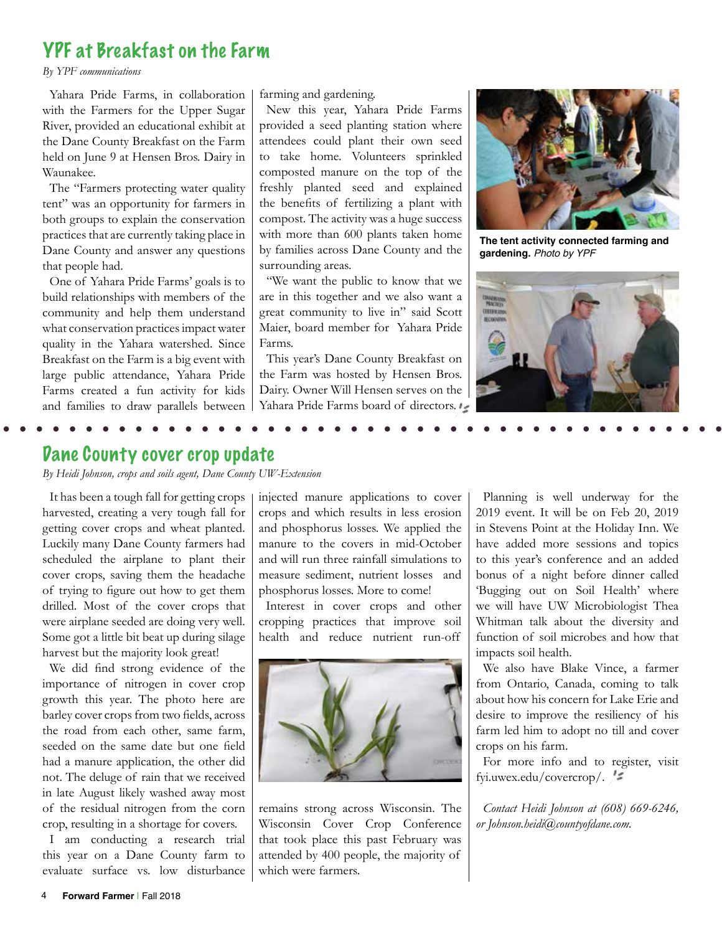# YPF at Breakfast on the Farm

*By YPF communications* 

Yahara Pride Farms, in collaboration with the Farmers for the Upper Sugar River, provided an educational exhibit at the Dane County Breakfast on the Farm held on June 9 at Hensen Bros. Dairy in Waunakee.

The "Farmers protecting water quality tent" was an opportunity for farmers in both groups to explain the conservation practices that are currently taking place in Dane County and answer any questions that people had.

One of Yahara Pride Farms' goals is to build relationships with members of the community and help them understand what conservation practices impact water quality in the Yahara watershed. Since Breakfast on the Farm is a big event with large public attendance, Yahara Pride Farms created a fun activity for kids and families to draw parallels between

farming and gardening.

New this year, Yahara Pride Farms provided a seed planting station where attendees could plant their own seed to take home. Volunteers sprinkled composted manure on the top of the freshly planted seed and explained the benefits of fertilizing a plant with compost. The activity was a huge success with more than 600 plants taken home by families across Dane County and the surrounding areas.

"We want the public to know that we are in this together and we also want a great community to live in" said Scott Maier, board member for Yahara Pride Farms.

This year's Dane County Breakfast on the Farm was hosted by Hensen Bros. Dairy. Owner Will Hensen serves on the Yahara Pride Farms board of directors.



**The tent activity connected farming and gardening.** *Photo by YPF*



## Dane County cover crop update

*By Heidi Johnson, crops and soils agent, Dane County UW-Extension*

It has been a tough fall for getting crops harvested, creating a very tough fall for getting cover crops and wheat planted. Luckily many Dane County farmers had scheduled the airplane to plant their cover crops, saving them the headache of trying to figure out how to get them drilled. Most of the cover crops that were airplane seeded are doing very well. Some got a little bit beat up during silage harvest but the majority look great!

We did find strong evidence of the importance of nitrogen in cover crop growth this year. The photo here are barley cover crops from two fields, across the road from each other, same farm, seeded on the same date but one field had a manure application, the other did not. The deluge of rain that we received in late August likely washed away most of the residual nitrogen from the corn crop, resulting in a shortage for covers.

I am conducting a research trial this year on a Dane County farm to evaluate surface vs. low disturbance injected manure applications to cover crops and which results in less erosion and phosphorus losses. We applied the manure to the covers in mid-October and will run three rainfall simulations to measure sediment, nutrient losses and phosphorus losses. More to come!

Interest in cover crops and other cropping practices that improve soil health and reduce nutrient run-off



remains strong across Wisconsin. The Wisconsin Cover Crop Conference that took place this past February was attended by 400 people, the majority of which were farmers.

Planning is well underway for the 2019 event. It will be on Feb 20, 2019 in Stevens Point at the Holiday Inn. We have added more sessions and topics to this year's conference and an added bonus of a night before dinner called 'Bugging out on Soil Health' where we will have UW Microbiologist Thea Whitman talk about the diversity and function of soil microbes and how that impacts soil health.

We also have Blake Vince, a farmer from Ontario, Canada, coming to talk about how his concern for Lake Erie and desire to improve the resiliency of his farm led him to adopt no till and cover crops on his farm.

For more info and to register, visit fyi.uwex.edu/covercrop/.

*Contact Heidi Johnson at (608) 669-6246, or Johnson.heidi@countyofdane.com.*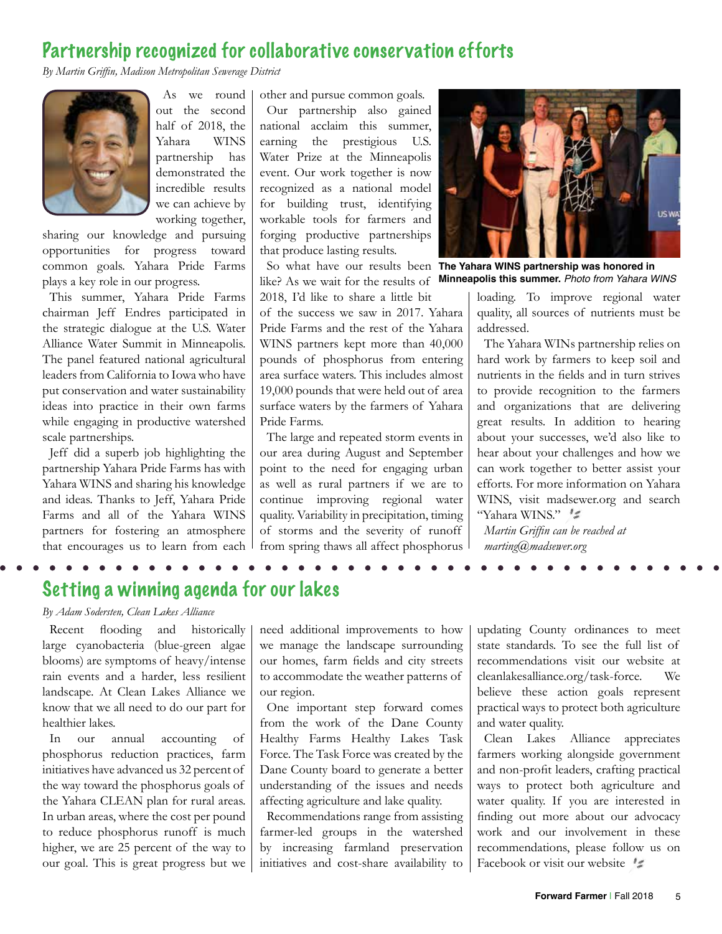## Partnership recognized for collaborative conservation efforts

*By Martin Griffin, Madison Metropolitan Sewerage District*



As we round out the second half of 2018, the Yahara WINS partnership has demonstrated the incredible results we can achieve by working together,

sharing our knowledge and pursuing opportunities for progress toward common goals. Yahara Pride Farms plays a key role in our progress.

This summer, Yahara Pride Farms chairman Jeff Endres participated in the strategic dialogue at the U.S. Water Alliance Water Summit in Minneapolis. The panel featured national agricultural leaders from California to Iowa who have put conservation and water sustainability ideas into practice in their own farms while engaging in productive watershed scale partnerships.

Jeff did a superb job highlighting the partnership Yahara Pride Farms has with Yahara WINS and sharing his knowledge and ideas. Thanks to Jeff, Yahara Pride Farms and all of the Yahara WINS partners for fostering an atmosphere that encourages us to learn from each other and pursue common goals. Our partnership also gained national acclaim this summer, earning the prestigious U.S. Water Prize at the Minneapolis event. Our work together is now recognized as a national model for building trust, identifying workable tools for farmers and forging productive partnerships that produce lasting results.

like? As we wait for the results of 2018, I'd like to share a little bit

of the success we saw in 2017. Yahara Pride Farms and the rest of the Yahara WINS partners kept more than 40,000 pounds of phosphorus from entering area surface waters. This includes almost 19,000 pounds that were held out of area surface waters by the farmers of Yahara Pride Farms.

The large and repeated storm events in our area during August and September point to the need for engaging urban as well as rural partners if we are to continue improving regional water quality. Variability in precipitation, timing of storms and the severity of runoff from spring thaws all affect phosphorus



So what have our results been **The Yahara WINS partnership was honored in Minneapolis this summer.** *Photo from Yahara WINS*

loading. To improve regional water quality, all sources of nutrients must be addressed.

The Yahara WINs partnership relies on hard work by farmers to keep soil and nutrients in the fields and in turn strives to provide recognition to the farmers and organizations that are delivering great results. In addition to hearing about your successes, we'd also like to hear about your challenges and how we can work together to better assist your efforts. For more information on Yahara WINS, visit madsewer.org and search "Yahara WINS."

*Martin Griffin can be reached at marting@madsewer.org*

## Setting a winning agenda for our lakes

## *By Adam Sodersten, Clean Lakes Alliance*

Recent flooding and historically large cyanobacteria (blue-green algae blooms) are symptoms of heavy/intense rain events and a harder, less resilient landscape. At Clean Lakes Alliance we know that we all need to do our part for healthier lakes.

In our annual accounting of phosphorus reduction practices, farm initiatives have advanced us 32 percent of the way toward the phosphorus goals of the Yahara CLEAN plan for rural areas. In urban areas, where the cost per pound to reduce phosphorus runoff is much higher, we are 25 percent of the way to our goal. This is great progress but we need additional improvements to how we manage the landscape surrounding our homes, farm fields and city streets to accommodate the weather patterns of our region.

One important step forward comes from the work of the Dane County Healthy Farms Healthy Lakes Task Force. The Task Force was created by the Dane County board to generate a better understanding of the issues and needs affecting agriculture and lake quality.

Recommendations range from assisting farmer-led groups in the watershed by increasing farmland preservation initiatives and cost-share availability to

updating County ordinances to meet state standards. To see the full list of recommendations visit our website at cleanlakesalliance.org/task-force. We believe these action goals represent practical ways to protect both agriculture and water quality.

Clean Lakes Alliance appreciates farmers working alongside government and non-profit leaders, crafting practical ways to protect both agriculture and water quality. If you are interested in finding out more about our advocacy work and our involvement in these recommendations, please follow us on Facebook or visit our website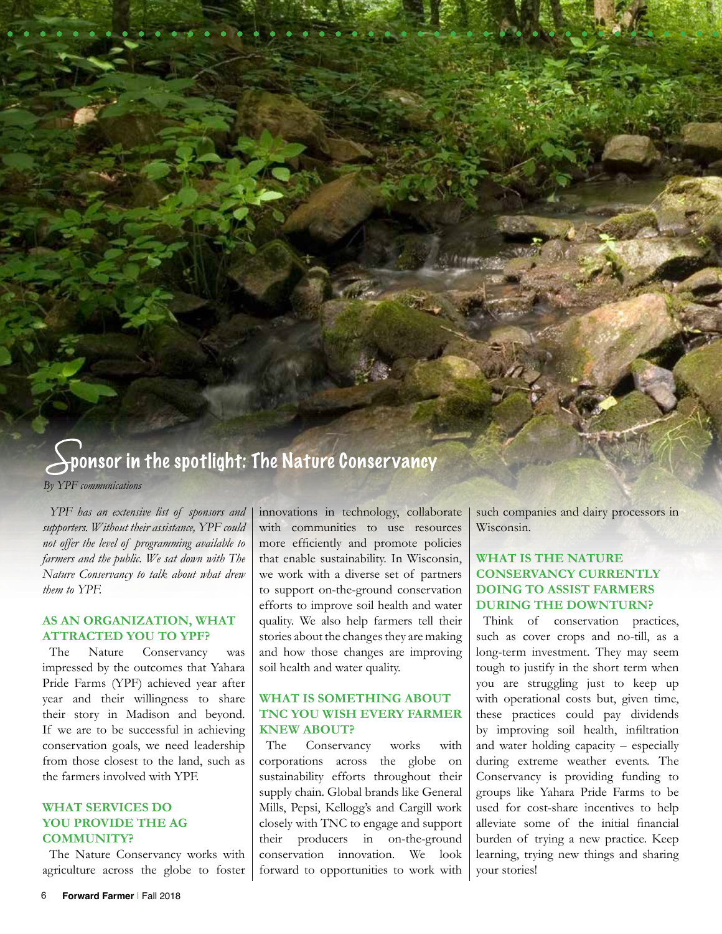# ponsor in the spotlight: The Nature Conservancy *By YPF communications*

*YPF has an extensive list of sponsors and supporters. Without their assistance, YPF could not offer the level of programming available to farmers and the public. We sat down with The Nature Conservancy to talk about what drew them to YPF.*

#### **AS AN ORGANIZATION, WHAT ATTRACTED YOU TO YPF?**

The Nature Conservancy was impressed by the outcomes that Yahara Pride Farms (YPF) achieved year after year and their willingness to share their story in Madison and beyond. If we are to be successful in achieving conservation goals, we need leadership from those closest to the land, such as the farmers involved with YPF.

#### **WHAT SERVICES DO YOU PROVIDE THE AG COMMUNITY?**

The Nature Conservancy works with agriculture across the globe to foster innovations in technology, collaborate with communities to use resources more efficiently and promote policies that enable sustainability. In Wisconsin, we work with a diverse set of partners to support on-the-ground conservation efforts to improve soil health and water quality. We also help farmers tell their stories about the changes they are making and how those changes are improving soil health and water quality.

#### **WHAT IS SOMETHING ABOUT TNC YOU WISH EVERY FARMER KNEW ABOUT?**

The Conservancy works with corporations across the globe on sustainability efforts throughout their supply chain. Global brands like General Mills, Pepsi, Kellogg's and Cargill work closely with TNC to engage and support their producers in on-the-ground conservation innovation. We look forward to opportunities to work with such companies and dairy processors in Wisconsin.

## **WHAT IS THE NATURE CONSERVANCY CURRENTLY DOING TO ASSIST FARMERS DURING THE DOWNTURN?**

Think of conservation practices, such as cover crops and no-till, as a long-term investment. They may seem tough to justify in the short term when you are struggling just to keep up with operational costs but, given time, these practices could pay dividends by improving soil health, infiltration and water holding capacity – especially during extreme weather events. The Conservancy is providing funding to groups like Yahara Pride Farms to be used for cost-share incentives to help alleviate some of the initial financial burden of trying a new practice. Keep learning, trying new things and sharing your stories!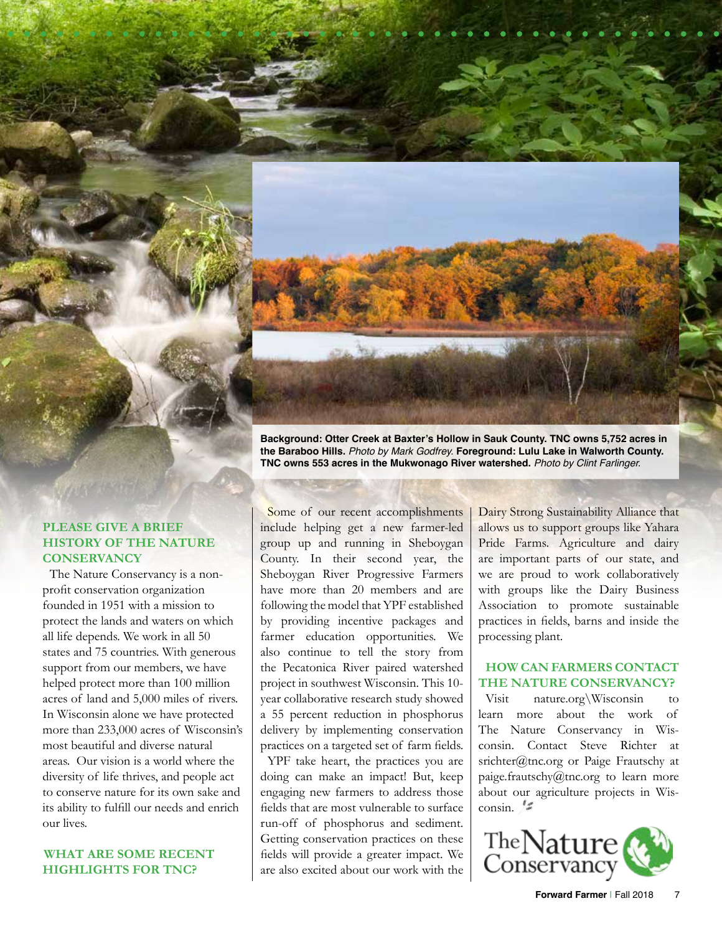**Background: Otter Creek at Baxter's Hollow in Sauk County. TNC owns 5,752 acres in the Baraboo Hills.** *Photo by Mark Godfrey.* **Foreground: Lulu Lake in Walworth County. TNC owns 553 acres in the Mukwonago River watershed.** *Photo by Clint Farlinger.*

#### **PLEASE GIVE A BRIEF HISTORY OF THE NATURE CONSERVANCY**

The Nature Conservancy is a nonprofit conservation organization founded in 1951 with a mission to protect the lands and waters on which all life depends. We work in all 50 states and 75 countries. With generous support from our members, we have helped protect more than 100 million acres of land and 5,000 miles of rivers. In Wisconsin alone we have protected more than 233,000 acres of Wisconsin's most beautiful and diverse natural areas. Our vision is a world where the diversity of life thrives, and people act to conserve nature for its own sake and its ability to fulfill our needs and enrich our lives.

#### **WHAT ARE SOME RECENT HIGHLIGHTS FOR TNC?**

Some of our recent accomplishments include helping get a new farmer-led group up and running in Sheboygan County. In their second year, the Sheboygan River Progressive Farmers have more than 20 members and are following the model that YPF established by providing incentive packages and farmer education opportunities. We also continue to tell the story from the Pecatonica River paired watershed project in southwest Wisconsin. This 10 year collaborative research study showed a 55 percent reduction in phosphorus delivery by implementing conservation practices on a targeted set of farm fields.

YPF take heart, the practices you are doing can make an impact! But, keep engaging new farmers to address those fields that are most vulnerable to surface run-off of phosphorus and sediment. Getting conservation practices on these fields will provide a greater impact. We are also excited about our work with the Dairy Strong Sustainability Alliance that allows us to support groups like Yahara Pride Farms. Agriculture and dairy are important parts of our state, and we are proud to work collaboratively with groups like the Dairy Business Association to promote sustainable practices in fields, barns and inside the processing plant.

#### **HOW CAN FARMERS CONTACT THE NATURE CONSERVANCY?**

Visit nature.org\Wisconsin to learn more about the work of The Nature Conservancy in Wisconsin. Contact Steve Richter at srichter@tnc.org or Paige Frautschy at paige.frautschy@tnc.org to learn more about our agriculture projects in Wis- $\cos \theta$